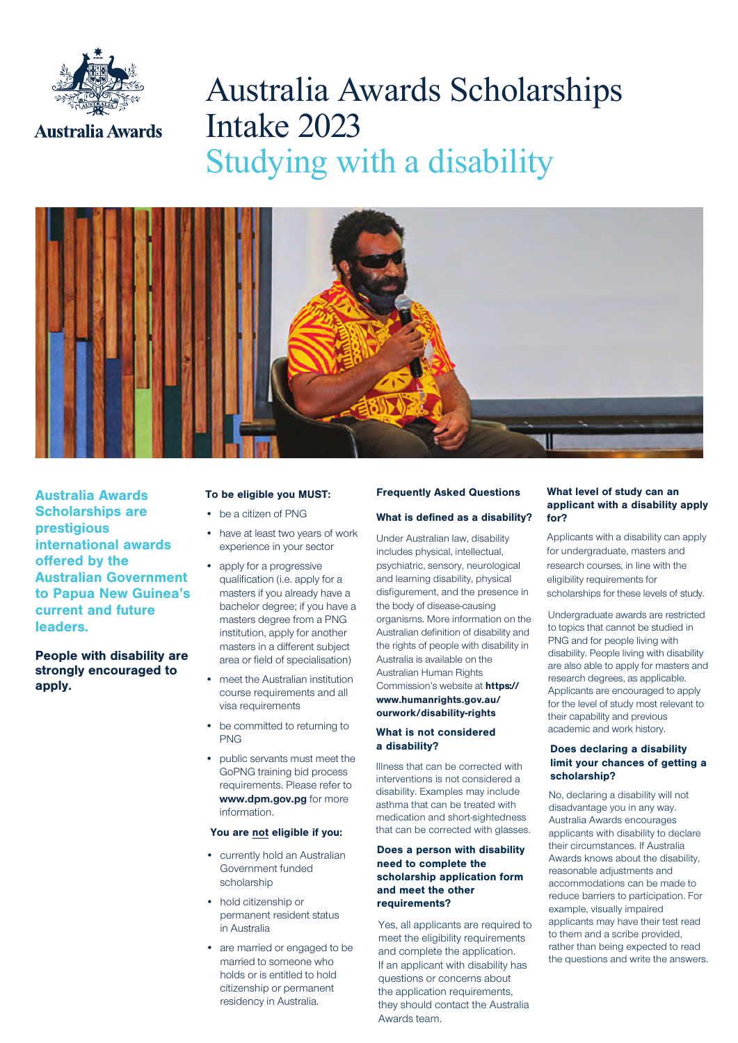

# Australia Awards Scholarships Intake 2023 Studying with a disability



Australia Awards Scholarships are prestigious international awards offered by the Australian Government to Papua New Guinea's current and future leaders.

People with disability are strongly encouraged to apply.

#### To be eligible you MUST:

- be a citizen of PNG
- have at least two years of work experience in your sector
- apply for a progressive qualification (i.e. apply for a masters if you already have a bachelor degree; if you have a masters degree from a PNG institution, apply for another masters in a different subject area or field of specialisation)
- meet the Australian institution course requirements and all visa requirements
- be committed to returning to PNG
- public servants must meet the GoPNG training bid process requirements. Please refer to www.dpm.gov.pg for more information.

#### You are not eligible if you:

- currently hold an Australian Government funded scholarship
- hold citizenship or permanent resident status in Australia
- are married or engaged to be married to someone who holds or is entitled to hold citizenship or permanent residency in Australia.

### Frequently Asked Questions What is defined as a disability?

Under Australian law, disability includes physical, intellectual, psychiatric, sensory, neurological and learning disability, physical disfigurement, and the presence in the body of disease-causing organisms. More information on the Australian definition of disability and the rights of people with disability in Australia is available on the Australian Human Rights Commission's website at **https://** www.humanrights.gov.au/ ourwork/disability-rights

#### What is not considered a disability?

Illness that can be corrected with interventions is not considered a disability. Examples may include asthma that can be treated with medication and short-sightedness that can be corrected with glasses.

#### Does a person with disability need to complete the scholarship application form and meet the other requirements?

Yes, all applicants are required to meet the eligibility requirements and complete the application. If an applicant with disability has questions or concerns about the application requirements, they should contact the Australia Awards team.

#### What level of study can an applicant with a disability apply for?

Applicants with a disability can apply for undergraduate, masters and research courses, in line with the eligibility requirements for scholarships for these levels of study.

Undergraduate awards are restricted to topics that cannot be studied in PNG and for people living with disability. People living with disability are also able to apply for masters and research degrees, as applicable. Applicants are encouraged to apply for the level of study most relevant to their capability and previous academic and work history.

#### Does declaring a disability limit your chances of getting a scholarship?

No, declaring a disability will not disadvantage you in any way. Australia Awards encourages applicants with disability to declare their circumstances. If Australia Awards knows about the disability, reasonable adjustments and accommodations can be made to reduce barriers to participation. For example, visually impaired applicants may have their test read to them and a scribe provided, rather than being expected to read the questions and write the answers.